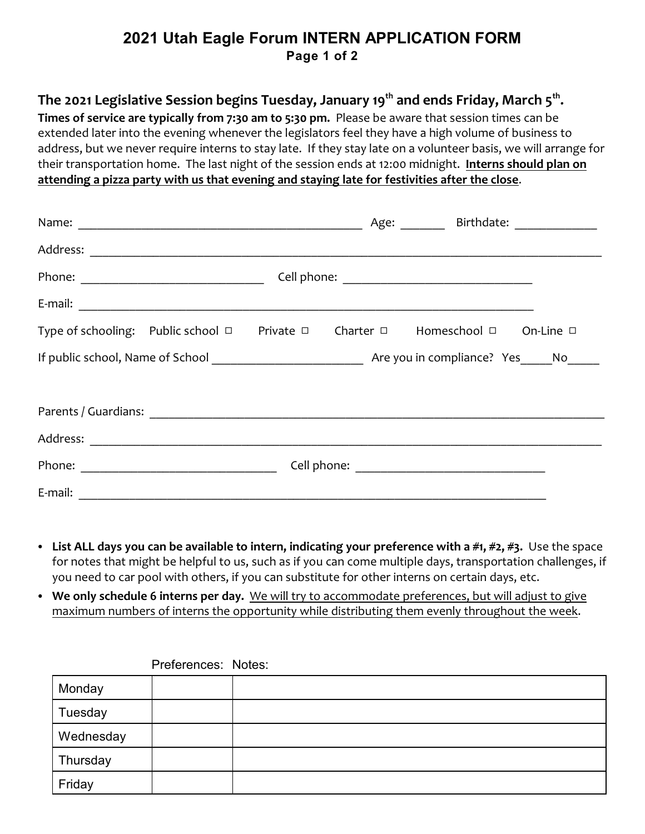## **2021 Utah Eagle Forum INTERN APPLICATION FORM Page 1 of 2**

## The 2021 Legislative Session begins Tuesday, January 19<sup>th</sup> and ends Friday, March 5<sup>th</sup>.

**Times of service are typically from 7:30 am to 5:30 pm.** Please be aware that session times can be extended later into the evening whenever the legislators feel they have a high volume of business to address, but we never require interns to stay late. If they stay late on a volunteer basis, we will arrange for their transportation home. The last night of the session ends at 12:00 midnight. **Interns should plan on attending a pizza party with us that evening and staying late for festivities after the close**.

|                                                                                                        |  |  |  | Age: Birthdate: 1990 March 2014 |  |  |
|--------------------------------------------------------------------------------------------------------|--|--|--|---------------------------------|--|--|
|                                                                                                        |  |  |  |                                 |  |  |
|                                                                                                        |  |  |  |                                 |  |  |
|                                                                                                        |  |  |  |                                 |  |  |
| Type of schooling: Public school $\Box$ Private $\Box$ Charter $\Box$ Homeschool $\Box$ On-Line $\Box$ |  |  |  |                                 |  |  |
|                                                                                                        |  |  |  |                                 |  |  |
|                                                                                                        |  |  |  |                                 |  |  |
|                                                                                                        |  |  |  |                                 |  |  |
|                                                                                                        |  |  |  |                                 |  |  |
|                                                                                                        |  |  |  |                                 |  |  |
|                                                                                                        |  |  |  |                                 |  |  |

- List ALL days you can be available to intern, indicating your preference with a #1, #2, #3. Use the space for notes that might be helpful to us, such as if you can come multiple days, transportation challenges, if you need to car pool with others, if you can substitute for other interns on certain days, etc.
- We only schedule 6 interns per day. We will try to accommodate preferences, but will adjust to give maximum numbers of interns the opportunity while distributing them evenly throughout the week.

| Monday    |  |
|-----------|--|
| Tuesday   |  |
| Wednesday |  |
| Thursday  |  |
| Friday    |  |

Preferences: Notes: